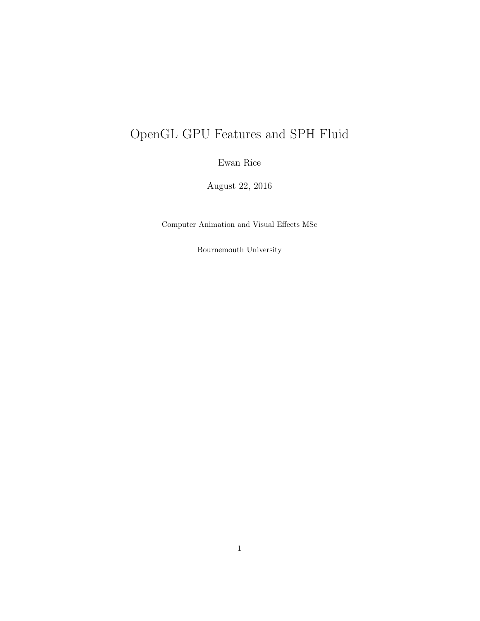# OpenGL GPU Features and SPH Fluid

Ewan Rice

August 22, 2016

Computer Animation and Visual Effects MSc

Bournemouth University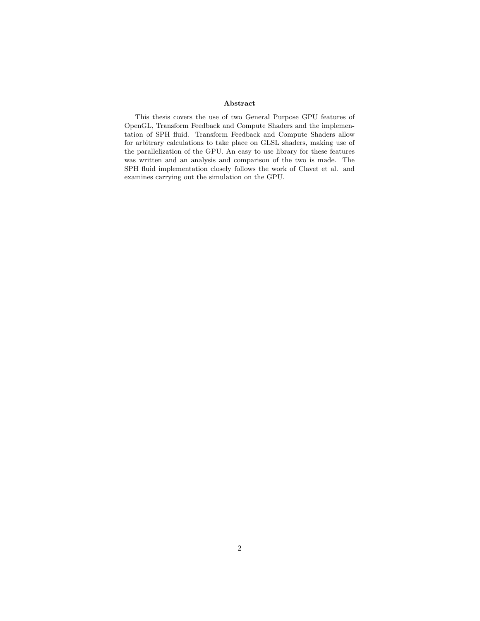## Abstract

This thesis covers the use of two General Purpose GPU features of OpenGL, Transform Feedback and Compute Shaders and the implementation of SPH fluid. Transform Feedback and Compute Shaders allow for arbitrary calculations to take place on GLSL shaders, making use of the parallelization of the GPU. An easy to use library for these features was written and an analysis and comparison of the two is made. The SPH fluid implementation closely follows the work of Clavet et al. and examines carrying out the simulation on the GPU.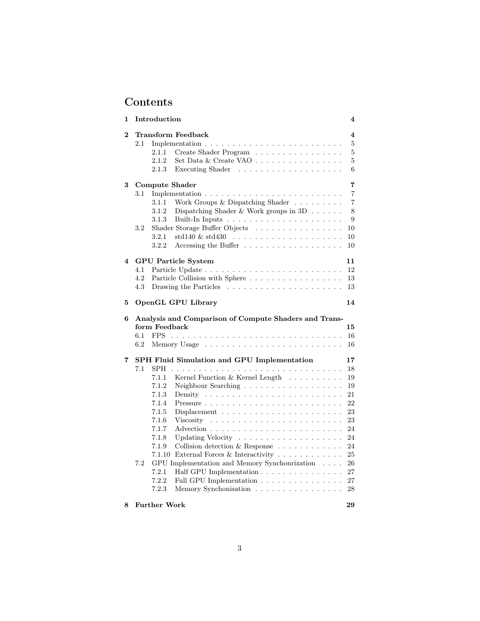## Contents

| $\mathbf 1$    | Introduction                                                                                                                                                                                                                                                                                                                                                                                                                                                                                                                                                                                                                                                                                                                                                             | 4                                                                                                |
|----------------|--------------------------------------------------------------------------------------------------------------------------------------------------------------------------------------------------------------------------------------------------------------------------------------------------------------------------------------------------------------------------------------------------------------------------------------------------------------------------------------------------------------------------------------------------------------------------------------------------------------------------------------------------------------------------------------------------------------------------------------------------------------------------|--------------------------------------------------------------------------------------------------|
| $\overline{2}$ | Transform Feedback<br>2.1<br>Implementation $\ldots \ldots \ldots \ldots \ldots \ldots \ldots \ldots$<br>Create Shader Program<br>2.1.1<br>2.1.2<br>Set Data & Create VAO $\ldots \ldots \ldots \ldots \ldots$<br>2.1.3<br>Executing Shader<br>.                                                                                                                                                                                                                                                                                                                                                                                                                                                                                                                         | 4<br>5<br>5<br>$\overline{5}$<br>6                                                               |
| 3              | Compute Shader<br>Implementation $\ldots \ldots \ldots \ldots \ldots \ldots \ldots \ldots \ldots$<br>3.1<br>3.1.1<br>Work Groups & Dispatching Shader<br>3.1.2<br>Dispatching Shader & Work groups in $3D \ldots \ldots$<br>3.1.3<br>$3.2\,$<br>Shader Storage Buffer Objects<br>$std140 \& std430 \ldots \ldots \ldots \ldots \ldots \ldots$<br>3.2.1<br>3.2.2<br>Accessing the Buffer $\dots \dots \dots \dots \dots$                                                                                                                                                                                                                                                                                                                                                  | 7<br>7<br>$\overline{7}$<br>8<br>9<br>10<br>10<br>10                                             |
| 4              | <b>GPU</b> Particle System<br>4.1<br>4.2<br>Particle Collision with Sphere<br>4.3<br>Drawing the Particles $\ldots \ldots \ldots \ldots \ldots \ldots \ldots$                                                                                                                                                                                                                                                                                                                                                                                                                                                                                                                                                                                                            | 11<br>12<br>13<br>13                                                                             |
| 5              | <b>OpenGL GPU Library</b>                                                                                                                                                                                                                                                                                                                                                                                                                                                                                                                                                                                                                                                                                                                                                | 14                                                                                               |
| 6              | Analysis and Comparison of Compute Shaders and Trans-<br>form Feedback<br>6.1<br><b>FPS</b>                                                                                                                                                                                                                                                                                                                                                                                                                                                                                                                                                                                                                                                                              | 15                                                                                               |
|                | 6.2                                                                                                                                                                                                                                                                                                                                                                                                                                                                                                                                                                                                                                                                                                                                                                      | 16<br>16                                                                                         |
| 7              | <b>SPH Fluid Simulation and GPU Implementation</b><br>7.1<br><b>SPH</b><br>Kernel Function & Kernel Length<br>7.1.1<br>7.1.2<br>Neighbour Searching $\ldots \ldots \ldots \ldots \ldots \ldots$<br>7.1.3<br>Density<br>7.1.4<br>Pressure<br>$\sim$ $\sim$ $\sim$ $\sim$<br>7.1.5<br>Displacement $\ldots \ldots \ldots \ldots \ldots \ldots$<br>7.1.6<br>Viscosity<br>7.1.7<br>7.1.8<br>7.1.9<br>Collision detection $\&$ Response $\ldots \ldots \ldots$<br>7.1.10<br>External Forces & Interactivity $\ldots \ldots \ldots$<br>7.2<br>GPU Implementation and Memory Synchonrization<br>$\sim$ $\sim$ $\sim$ $\sim$<br>7.2.1<br>Half GPU Implementation $\ldots$ , $\ldots$ , $\ldots$ , $\ldots$<br>7.2.2<br>Full GPU Implementation<br>7.2.3<br>Memory Synchonisation | 17<br>18<br>19<br>19<br>21<br>22<br>23<br>23<br>24<br>24<br>24<br>$25\,$<br>26<br>27<br>27<br>28 |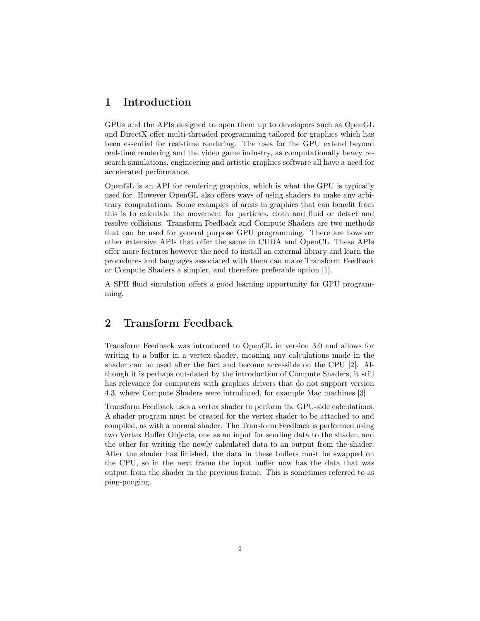## 1 Introduction

GPUs and the APIs designed to open them up to developers such as OpenGL and DirectX offer multi-threaded programming tailored for graphics which has been essential for real-time rendering. The uses for the GPU extend beyond real-time rendering and the video game industry, as computationally heavy research simulations, engineering and artistic graphics software all have a need for accelerated performance.

OpenGL is an API for rendering graphics, which is what the GPU is typically used for. However OpenGL also offers ways of using shaders to make any arbitrary computations. Some examples of areas in graphics that can benefit from this is to calculate the movement for particles, cloth and fluid or detect and resolve collisions. Transform Feedback and Compute Shaders are two methods that can be used for general purpose GPU programming. There are however other extensive APIs that offer the same in CUDA and OpenCL. These APIs offer more features however the need to install an external library and learn the procedures and languages associated with them can make Transform Feedback or Compute Shaders a simpler, and therefore preferable option [1].

A SPH fluid simulation offers a good learning opportunity for GPU programming.

## 2 Transform Feedback

Transform Feedback was introduced to OpenGL in version 3.0 and allows for writing to a buffer in a vertex shader, meaning any calculations made in the shader can be used after the fact and become accessible on the CPU [2]. Although it is perhaps out-dated by the introduction of Compute Shaders, it still has relevance for computers with graphics drivers that do not support version 4.3, where Compute Shaders were introduced, for example Mac machines [3].

Transform Feedback uses a vertex shader to perform the GPU-side calculations. A shader program must be created for the vertex shader to be attached to and compiled, as with a normal shader. The Transform Feedback is performed using two Vertex Buffer Objects, one as an input for sending data to the shader, and the other for writing the newly calculated data to an output from the shader. After the shader has finished, the data in these buffers must be swapped on the CPU, so in the next frame the input buffer now has the data that was output from the shader in the previous frame. This is sometimes referred to as ping-ponging.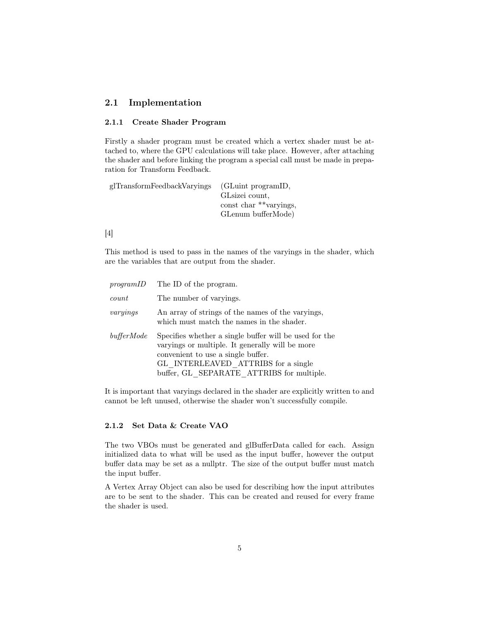## 2.1 Implementation

## 2.1.1 Create Shader Program

Firstly a shader program must be created which a vertex shader must be attached to, where the GPU calculations will take place. However, after attaching the shader and before linking the program a special call must be made in preparation for Transform Feedback.

| glTransformFeedbackVaryings<br>(GLuint programID, |
|---------------------------------------------------|
| GL size i count.                                  |
| const char **varyings,                            |
| GLenum bufferMode)                                |
|                                                   |

## [4]

This method is used to pass in the names of the varyings in the shader, which are the variables that are output from the shader.

| programID  | The ID of the program.                                                                                                                                                                                                              |
|------------|-------------------------------------------------------------------------------------------------------------------------------------------------------------------------------------------------------------------------------------|
| count      | The number of varyings.                                                                                                                                                                                                             |
| varyings   | An array of strings of the names of the varyings,<br>which must match the names in the shader.                                                                                                                                      |
| bufferMode | Specifies whether a single buffer will be used for the<br>varyings or multiple. It generally will be more<br>convenient to use a single buffer.<br>GL INTERLEAVED ATTRIBS for a single<br>buffer, GL SEPARATE ATTRIBS for multiple. |

It is important that varyings declared in the shader are explicitly written to and cannot be left unused, otherwise the shader won't successfully compile.

## 2.1.2 Set Data & Create VAO

The two VBOs must be generated and glBufferData called for each. Assign initialized data to what will be used as the input buffer, however the output buffer data may be set as a nullptr. The size of the output buffer must match the input buffer.

A Vertex Array Object can also be used for describing how the input attributes are to be sent to the shader. This can be created and reused for every frame the shader is used.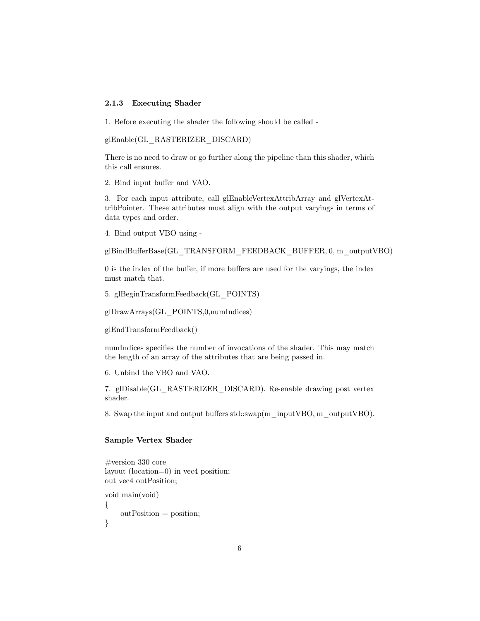## 2.1.3 Executing Shader

1. Before executing the shader the following should be called -

glEnable(GL\_RASTERIZER\_DISCARD)

There is no need to draw or go further along the pipeline than this shader, which this call ensures.

2. Bind input buffer and VAO.

3. For each input attribute, call glEnableVertexAttribArray and glVertexAttribPointer. These attributes must align with the output varyings in terms of data types and order.

4. Bind output VBO using -

glBindBufferBase(GL\_TRANSFORM\_FEEDBACK\_BUFFER, 0, m\_outputVBO)

0 is the index of the buffer, if more buffers are used for the varyings, the index must match that.

5. glBeginTransformFeedback(GL\_POINTS)

glDrawArrays(GL\_POINTS,0,numIndices)

glEndTransformFeedback()

numIndices specifies the number of invocations of the shader. This may match the length of an array of the attributes that are being passed in.

6. Unbind the VBO and VAO.

7. glDisable(GL\_RASTERIZER\_DISCARD). Re-enable drawing post vertex shader.

8. Swap the input and output buffers std::swap(m\_inputVBO, m\_outputVBO).

## Sample Vertex Shader

```
#version 330 core
layout (location=0) in vec4 position;
out vec4 outPosition;
void main(void)
\{outPosition = position;}
```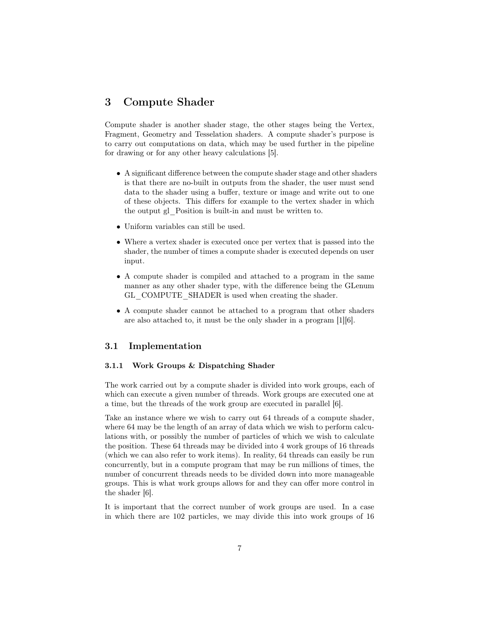## 3 Compute Shader

Compute shader is another shader stage, the other stages being the Vertex, Fragment, Geometry and Tesselation shaders. A compute shader's purpose is to carry out computations on data, which may be used further in the pipeline for drawing or for any other heavy calculations [5].

- A significant difference between the compute shader stage and other shaders is that there are no-built in outputs from the shader, the user must send data to the shader using a buffer, texture or image and write out to one of these objects. This differs for example to the vertex shader in which the output gl\_Position is built-in and must be written to.
- Uniform variables can still be used.
- Where a vertex shader is executed once per vertex that is passed into the shader, the number of times a compute shader is executed depends on user input.
- A compute shader is compiled and attached to a program in the same manner as any other shader type, with the difference being the GLenum GL\_COMPUTE\_SHADER is used when creating the shader.
- A compute shader cannot be attached to a program that other shaders are also attached to, it must be the only shader in a program [1][6].

## 3.1 Implementation

#### 3.1.1 Work Groups & Dispatching Shader

The work carried out by a compute shader is divided into work groups, each of which can execute a given number of threads. Work groups are executed one at a time, but the threads of the work group are executed in parallel [6].

Take an instance where we wish to carry out 64 threads of a compute shader, where 64 may be the length of an array of data which we wish to perform calculations with, or possibly the number of particles of which we wish to calculate the position. These 64 threads may be divided into 4 work groups of 16 threads (which we can also refer to work items). In reality, 64 threads can easily be run concurrently, but in a compute program that may be run millions of times, the number of concurrent threads needs to be divided down into more manageable groups. This is what work groups allows for and they can offer more control in the shader [6].

It is important that the correct number of work groups are used. In a case in which there are 102 particles, we may divide this into work groups of 16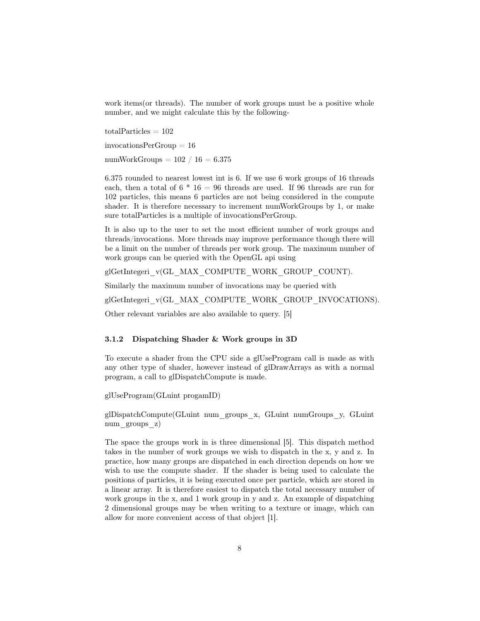work items (or threads). The number of work groups must be a positive whole number, and we might calculate this by the following-

 $totalParticles = 102$ invocationsPerGroup = 16 numWorkGroups  $= 102 / 16 = 6.375$ 

6.375 rounded to nearest lowest int is 6. If we use 6 work groups of 16 threads each, then a total of  $6 * 16 = 96$  threads are used. If 96 threads are run for 102 particles, this means 6 particles are not being considered in the compute shader. It is therefore necessary to increment numWorkGroups by 1, or make sure totalParticles is a multiple of invocationsPerGroup.

It is also up to the user to set the most efficient number of work groups and threads/invocations. More threads may improve performance though there will be a limit on the number of threads per work group. The maximum number of work groups can be queried with the OpenGL api using

glGetIntegeri\_v(GL\_MAX\_COMPUTE\_WORK\_GROUP\_COUNT).

Similarly the maximum number of invocations may be queried with

glGetIntegeri\_v(GL\_MAX\_COMPUTE\_WORK\_GROUP\_INVOCATIONS).

Other relevant variables are also available to query. [5]

## 3.1.2 Dispatching Shader & Work groups in 3D

To execute a shader from the CPU side a glUseProgram call is made as with any other type of shader, however instead of glDrawArrays as with a normal program, a call to glDispatchCompute is made.

glUseProgram(GLuint progamID)

glDispatchCompute(GLuint num\_groups\_x, GLuint numGroups\_y, GLuint num groups z)

The space the groups work in is three dimensional [5]. This dispatch method takes in the number of work groups we wish to dispatch in the x, y and z. In practice, how many groups are dispatched in each direction depends on how we wish to use the compute shader. If the shader is being used to calculate the positions of particles, it is being executed once per particle, which are stored in a linear array. It is therefore easiest to dispatch the total necessary number of work groups in the x, and 1 work group in y and z. An example of dispatching 2 dimensional groups may be when writing to a texture or image, which can allow for more convenient access of that object [1].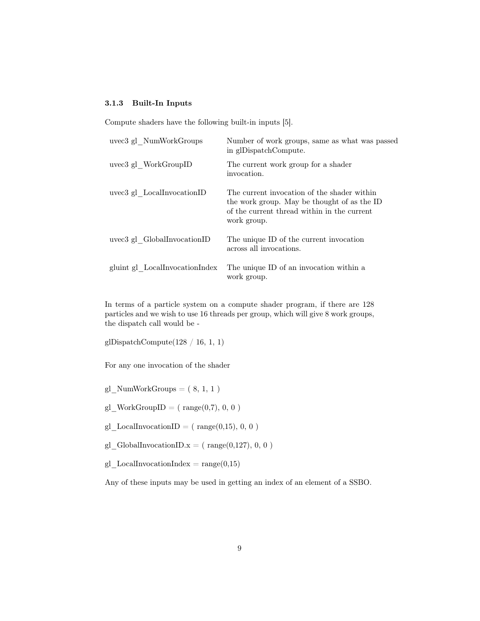## 3.1.3 Built-In Inputs

Compute shaders have the following built-in inputs [5].

| uvec3 gl NumWorkGroups         | Number of work groups, same as what was passed<br>in glDispatchCompute.                                                                                  |
|--------------------------------|----------------------------------------------------------------------------------------------------------------------------------------------------------|
| uvec3 gl WorkGroupID           | The current work group for a shader<br>invocation.                                                                                                       |
| uvec3 gl LocalInvocationID     | The current invocation of the shader within<br>the work group. May be thought of as the ID<br>of the current thread within in the current<br>work group. |
| uvec3 gl GlobalInvocationID    | The unique ID of the current invocation<br>across all invocations.                                                                                       |
| gluint gl LocalInvocationIndex | The unique ID of an invocation within a<br>work group.                                                                                                   |

In terms of a particle system on a compute shader program, if there are 128 particles and we wish to use 16 threads per group, which will give 8 work groups, the dispatch call would be -

glDispatchCompute(128 / 16, 1, 1)

For any one invocation of the shader

gl  $NumWorkGroups = ( 8, 1, 1 )$ 

 $gl\_WorkGroupID = ( range(0,7), 0, 0)$ 

- gl LocalInvocationID = ( $range(0,15), 0, 0$ )
- gl GlobalInvocationID. $x = ( range(0,127), 0, 0)$
- $gl\_LocalInvocationIndex = range(0,15)$

Any of these inputs may be used in getting an index of an element of a SSBO.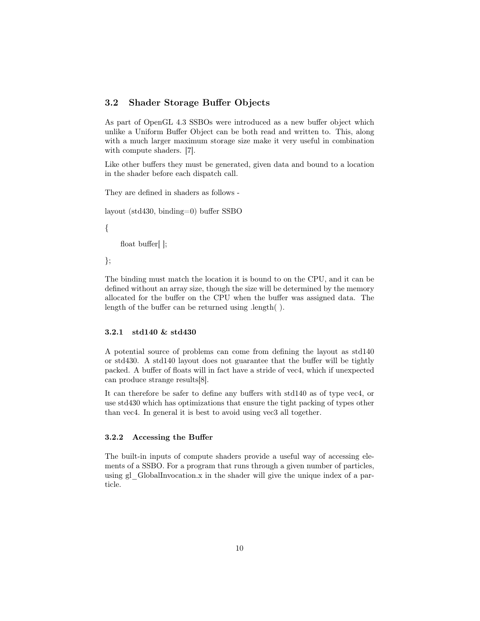## 3.2 Shader Storage Buffer Objects

As part of OpenGL 4.3 SSBOs were introduced as a new buffer object which unlike a Uniform Buffer Object can be both read and written to. This, along with a much larger maximum storage size make it very useful in combination with compute shaders. [7].

Like other buffers they must be generated, given data and bound to a location in the shader before each dispatch call.

They are defined in shaders as follows -

layout (std430, binding=0) buffer SSBO

{

float buffer[];

};

The binding must match the location it is bound to on the CPU, and it can be defined without an array size, though the size will be determined by the memory allocated for the buffer on the CPU when the buffer was assigned data. The length of the buffer can be returned using .length( ).

## 3.2.1 std140 & std430

A potential source of problems can come from defining the layout as std140 or std430. A std140 layout does not guarantee that the buffer will be tightly packed. A buffer of floats will in fact have a stride of vec4, which if unexpected can produce strange results[8].

It can therefore be safer to define any buffers with std140 as of type vec4, or use std430 which has optimizations that ensure the tight packing of types other than vec4. In general it is best to avoid using vec3 all together.

## 3.2.2 Accessing the Buffer

The built-in inputs of compute shaders provide a useful way of accessing elements of a SSBO. For a program that runs through a given number of particles, using gl\_GlobalInvocation.x in the shader will give the unique index of a particle.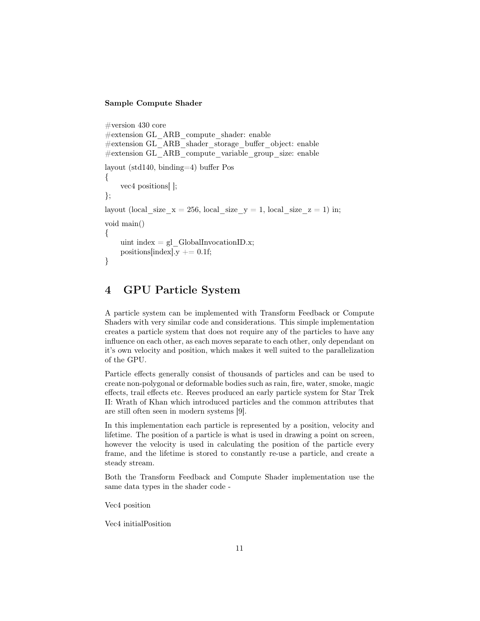## Sample Compute Shader

```
#version 430 core
#extension GL_ARB_compute_shader: enable
#extension GL_ARB_shader_storage_buffer_object: enable
#extension GL_ARB_compute_variable_group_size: enable
layout (std140, binding=4) buffer Pos
{
    vec4 positions[ ];
};
layout (local size x = 256, local size y = 1, local size z = 1) in;
void main()
{
    uint index = gl GlobalInvocationID.x;
    positions [index]. y \neq 0.1 f;
}
```
## 4 GPU Particle System

A particle system can be implemented with Transform Feedback or Compute Shaders with very similar code and considerations. This simple implementation creates a particle system that does not require any of the particles to have any influence on each other, as each moves separate to each other, only dependant on it's own velocity and position, which makes it well suited to the parallelization of the GPU.

Particle effects generally consist of thousands of particles and can be used to create non-polygonal or deformable bodies such as rain, fire, water, smoke, magic effects, trail effects etc. Reeves produced an early particle system for Star Trek II: Wrath of Khan which introduced particles and the common attributes that are still often seen in modern systems [9].

In this implementation each particle is represented by a position, velocity and lifetime. The position of a particle is what is used in drawing a point on screen, however the velocity is used in calculating the position of the particle every frame, and the lifetime is stored to constantly re-use a particle, and create a steady stream.

Both the Transform Feedback and Compute Shader implementation use the same data types in the shader code -

Vec4 position

Vec4 initialPosition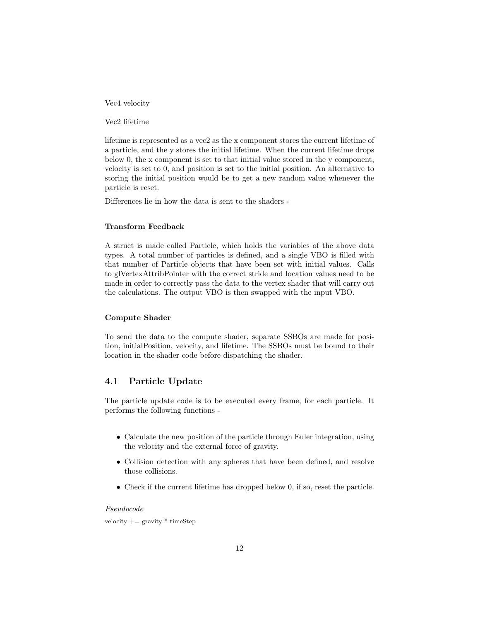Vec4 velocity

Vec2 lifetime

lifetime is represented as a vec2 as the x component stores the current lifetime of a particle, and the y stores the initial lifetime. When the current lifetime drops below 0, the x component is set to that initial value stored in the y component, velocity is set to 0, and position is set to the initial position. An alternative to storing the initial position would be to get a new random value whenever the particle is reset.

Differences lie in how the data is sent to the shaders -

## Transform Feedback

A struct is made called Particle, which holds the variables of the above data types. A total number of particles is defined, and a single VBO is filled with that number of Particle objects that have been set with initial values. Calls to glVertexAttribPointer with the correct stride and location values need to be made in order to correctly pass the data to the vertex shader that will carry out the calculations. The output VBO is then swapped with the input VBO.

## Compute Shader

To send the data to the compute shader, separate SSBOs are made for position, initialPosition, velocity, and lifetime. The SSBOs must be bound to their location in the shader code before dispatching the shader.

## 4.1 Particle Update

The particle update code is to be executed every frame, for each particle. It performs the following functions -

- Calculate the new position of the particle through Euler integration, using the velocity and the external force of gravity.
- Collision detection with any spheres that have been defined, and resolve those collisions.
- Check if the current lifetime has dropped below 0, if so, reset the particle.

## Pseudocode

velocity  $+=$  gravity  $*$  timeStep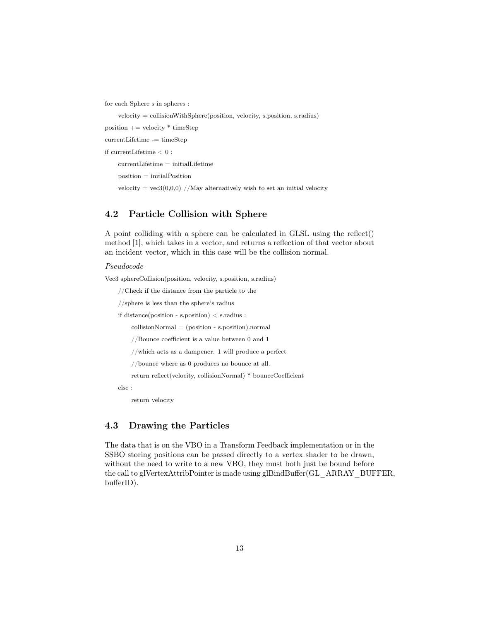for each Sphere s in spheres :

 $velocity = collisionWithSphere(position, velocity, s.position, s.radius)$ 

position  $+=$  velocity  $*$  timeStep

currentLifetime -= timeStep

if currentLifetime < 0 :

 $currentLifetime = initialLifetime$ 

position = initialPosition

velocity =  $vec3(0,0,0)$  //May alternatively wish to set an initial velocity

## 4.2 Particle Collision with Sphere

A point colliding with a sphere can be calculated in GLSL using the reflect() method [1], which takes in a vector, and returns a reflection of that vector about an incident vector, which in this case will be the collision normal.

Pseudocode

Vec3 sphereCollision(position, velocity, s.position, s.radius)

//Check if the distance from the particle to the

//sphere is less than the sphere's radius

if distance(position - s.position) < s.radius :

 $collisionNormal = (position - s.position).normal$ 

//Bounce coefficient is a value between 0 and 1

//which acts as a dampener. 1 will produce a perfect

//bounce where as 0 produces no bounce at all.

return reflect(velocity, collisionNormal) \* bounceCoefficient

else :

return velocity

## 4.3 Drawing the Particles

The data that is on the VBO in a Transform Feedback implementation or in the SSBO storing positions can be passed directly to a vertex shader to be drawn, without the need to write to a new VBO, they must both just be bound before the call to glVertexAttribPointer is made using glBindBuffer(GL\_ARRAY\_BUFFER, bufferID).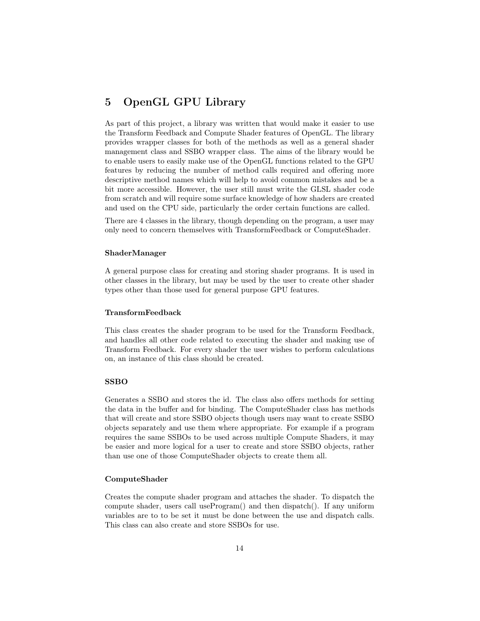## 5 OpenGL GPU Library

As part of this project, a library was written that would make it easier to use the Transform Feedback and Compute Shader features of OpenGL. The library provides wrapper classes for both of the methods as well as a general shader management class and SSBO wrapper class. The aims of the library would be to enable users to easily make use of the OpenGL functions related to the GPU features by reducing the number of method calls required and offering more descriptive method names which will help to avoid common mistakes and be a bit more accessible. However, the user still must write the GLSL shader code from scratch and will require some surface knowledge of how shaders are created and used on the CPU side, particularly the order certain functions are called.

There are 4 classes in the library, though depending on the program, a user may only need to concern themselves with TransformFeedback or ComputeShader.

## ShaderManager

A general purpose class for creating and storing shader programs. It is used in other classes in the library, but may be used by the user to create other shader types other than those used for general purpose GPU features.

## TransformFeedback

This class creates the shader program to be used for the Transform Feedback, and handles all other code related to executing the shader and making use of Transform Feedback. For every shader the user wishes to perform calculations on, an instance of this class should be created.

#### SSBO

Generates a SSBO and stores the id. The class also offers methods for setting the data in the buffer and for binding. The ComputeShader class has methods that will create and store SSBO objects though users may want to create SSBO objects separately and use them where appropriate. For example if a program requires the same SSBOs to be used across multiple Compute Shaders, it may be easier and more logical for a user to create and store SSBO objects, rather than use one of those ComputeShader objects to create them all.

## ComputeShader

Creates the compute shader program and attaches the shader. To dispatch the compute shader, users call useProgram() and then dispatch(). If any uniform variables are to to be set it must be done between the use and dispatch calls. This class can also create and store SSBOs for use.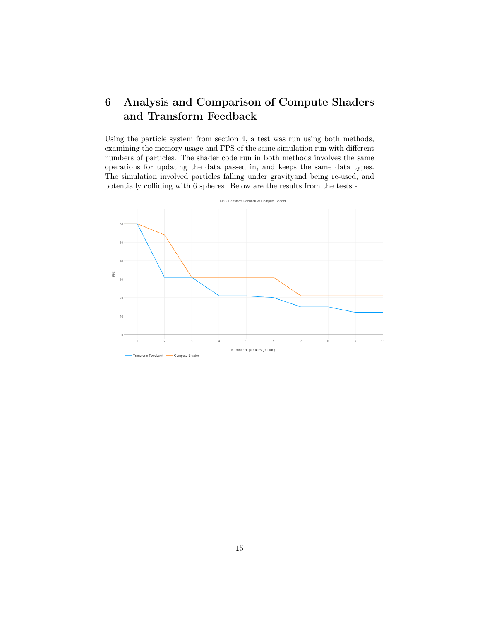## 6 Analysis and Comparison of Compute Shaders and Transform Feedback

Using the particle system from section 4, a test was run using both methods, examining the memory usage and FPS of the same simulation run with different numbers of particles. The shader code run in both methods involves the same operations for updating the data passed in, and keeps the same data types. The simulation involved particles falling under gravityand being re-used, and potentially colliding with 6 spheres. Below are the results from the tests -

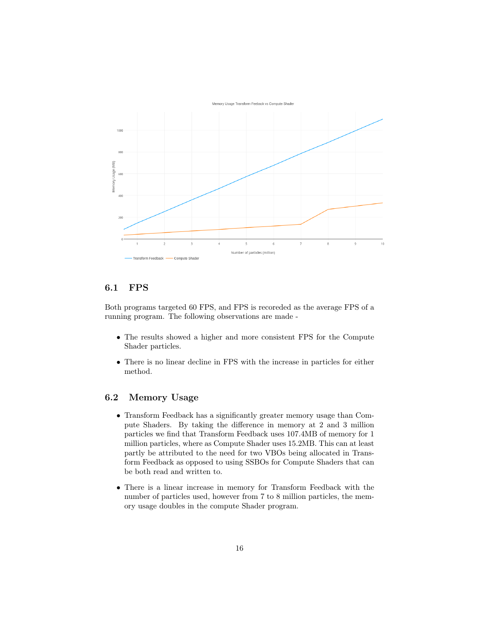

## 6.1 FPS

Both programs targeted 60 FPS, and FPS is recoreded as the average FPS of a running program. The following observations are made -

- The results showed a higher and more consistent FPS for the Compute Shader particles.
- There is no linear decline in FPS with the increase in particles for either method.

## 6.2 Memory Usage

- Transform Feedback has a significantly greater memory usage than Compute Shaders. By taking the difference in memory at 2 and 3 million particles we find that Transform Feedback uses 107.4MB of memory for 1 million particles, where as Compute Shader uses 15.2MB. This can at least partly be attributed to the need for two VBOs being allocated in Transform Feedback as opposed to using SSBOs for Compute Shaders that can be both read and written to.
- There is a linear increase in memory for Transform Feedback with the number of particles used, however from 7 to 8 million particles, the memory usage doubles in the compute Shader program.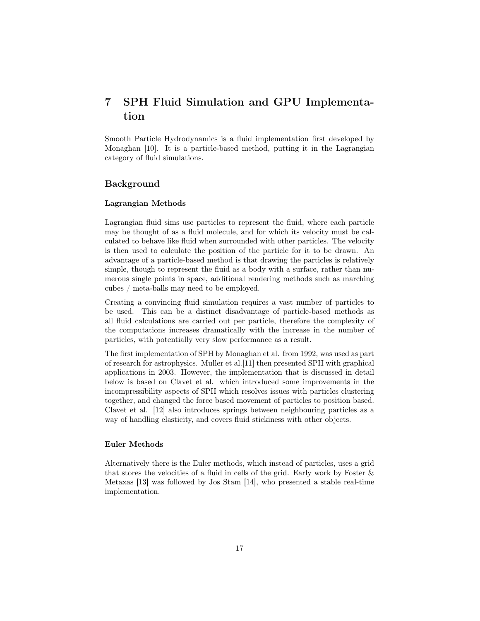## 7 SPH Fluid Simulation and GPU Implementation

Smooth Particle Hydrodynamics is a fluid implementation first developed by Monaghan [10]. It is a particle-based method, putting it in the Lagrangian category of fluid simulations.

## Background

## Lagrangian Methods

Lagrangian fluid sims use particles to represent the fluid, where each particle may be thought of as a fluid molecule, and for which its velocity must be calculated to behave like fluid when surrounded with other particles. The velocity is then used to calculate the position of the particle for it to be drawn. An advantage of a particle-based method is that drawing the particles is relatively simple, though to represent the fluid as a body with a surface, rather than numerous single points in space, additional rendering methods such as marching cubes / meta-balls may need to be employed.

Creating a convincing fluid simulation requires a vast number of particles to be used. This can be a distinct disadvantage of particle-based methods as all fluid calculations are carried out per particle, therefore the complexity of the computations increases dramatically with the increase in the number of particles, with potentially very slow performance as a result.

The first implementation of SPH by Monaghan et al. from 1992, was used as part of research for astrophysics. Muller et al.[11] then presented SPH with graphical applications in 2003. However, the implementation that is discussed in detail below is based on Clavet et al. which introduced some improvements in the incompressibility aspects of SPH which resolves issues with particles clustering together, and changed the force based movement of particles to position based. Clavet et al. [12] also introduces springs between neighbouring particles as a way of handling elasticity, and covers fluid stickiness with other objects.

### Euler Methods

Alternatively there is the Euler methods, which instead of particles, uses a grid that stores the velocities of a fluid in cells of the grid. Early work by Foster & Metaxas [13] was followed by Jos Stam [14], who presented a stable real-time implementation.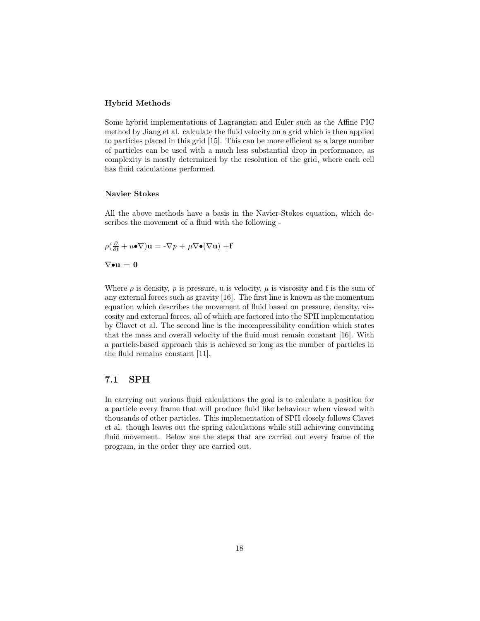## Hybrid Methods

Some hybrid implementations of Lagrangian and Euler such as the Affine PIC method by Jiang et al. calculate the fluid velocity on a grid which is then applied to particles placed in this grid [15]. This can be more efficient as a large number of particles can be used with a much less substantial drop in performance, as complexity is mostly determined by the resolution of the grid, where each cell has fluid calculations performed.

## Navier Stokes

All the above methods have a basis in the Navier-Stokes equation, which describes the movement of a fluid with the following -

$$
\rho(\tfrac{\partial}{\partial t}+u\bullet\nabla)\mathbf{u}=-\nabla p+\mu\nabla\bullet(\nabla\mathbf{u})+\mathbf{f}
$$

 $\nabla \bullet \mathbf{u} = \mathbf{0}$ 

Where  $\rho$  is density,  $p$  is pressure, u is velocity,  $\mu$  is viscosity and f is the sum of any external forces such as gravity [16]. The first line is known as the momentum equation which describes the movement of fluid based on pressure, density, viscosity and external forces, all of which are factored into the SPH implementation by Clavet et al. The second line is the incompressibility condition which states that the mass and overall velocity of the fluid must remain constant [16]. With a particle-based approach this is achieved so long as the number of particles in the fluid remains constant [11].

## 7.1 SPH

In carrying out various fluid calculations the goal is to calculate a position for a particle every frame that will produce fluid like behaviour when viewed with thousands of other particles. This implementation of SPH closely follows Clavet et al. though leaves out the spring calculations while still achieving convincing fluid movement. Below are the steps that are carried out every frame of the program, in the order they are carried out.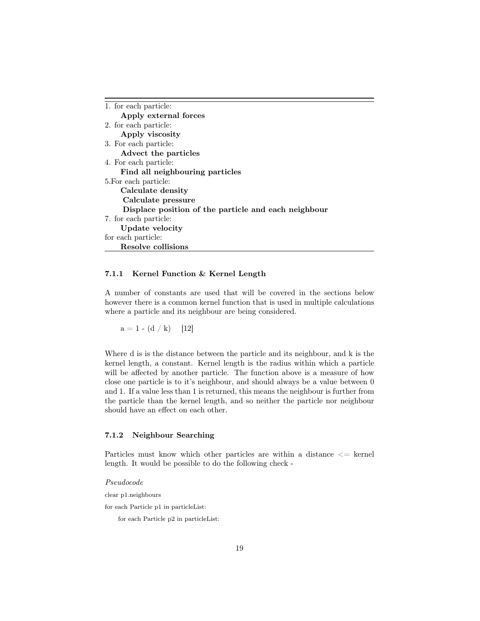| 1. for each particle:                                |  |
|------------------------------------------------------|--|
| Apply external forces                                |  |
| 2. for each particle:                                |  |
| Apply viscosity                                      |  |
| 3. For each particle:                                |  |
| Advect the particles                                 |  |
| 4. For each particle:                                |  |
| Find all neighbouring particles                      |  |
| 5. For each particle:                                |  |
| Calculate density                                    |  |
| Calculate pressure                                   |  |
| Displace position of the particle and each neighbour |  |
| 7. for each particle:                                |  |
| Update velocity                                      |  |
| for each particle:                                   |  |
| Resolve collisions                                   |  |

## 7.1.1 Kernel Function & Kernel Length

A number of constants are used that will be covered in the sections below however there is a common kernel function that is used in multiple calculations where a particle and its neighbour are being considered.

 $a = 1 - (d / k)$  [12]

Where d is is the distance between the particle and its neighbour, and k is the kernel length, a constant. Kernel length is the radius within which a particle will be affected by another particle. The function above is a measure of how close one particle is to it's neighbour, and should always be a value between 0 and 1. If a value less than 1 is returned, this means the neighbour is further from the particle than the kernel length, and so neither the particle nor neighbour should have an effect on each other.

## 7.1.2 Neighbour Searching

Particles must know which other particles are within a distance <= kernel length. It would be possible to do the following check -

Pseudocode

clear p1.neighbours

for each Particle p1 in particleList:

for each Particle p2 in particleList: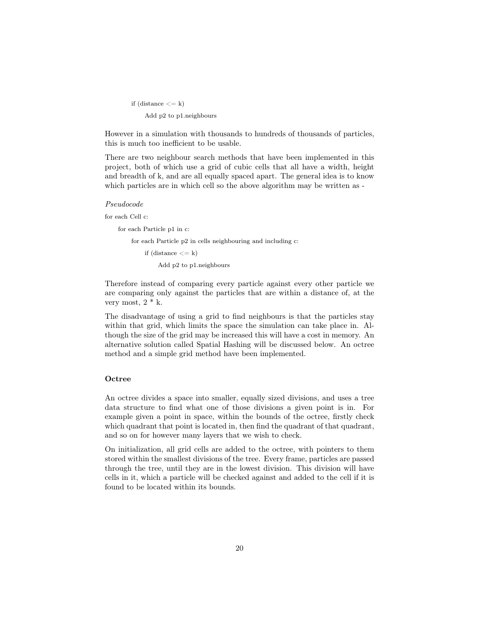if (distance  $<= k$ ) Add p2 to p1.neighbours

However in a simulation with thousands to hundreds of thousands of particles, this is much too inefficient to be usable.

There are two neighbour search methods that have been implemented in this project, both of which use a grid of cubic cells that all have a width, height and breadth of k, and are all equally spaced apart. The general idea is to know which particles are in which cell so the above algorithm may be written as -

#### Pseudocode

```
for each Cell c:
```
for each Particle p1 in c:

for each Particle p2 in cells neighbouring and including c:

if (distance  $\langle = k \rangle$ 

Add p2 to p1.neighbours

Therefore instead of comparing every particle against every other particle we are comparing only against the particles that are within a distance of, at the very most,  $2 * k$ .

The disadvantage of using a grid to find neighbours is that the particles stay within that grid, which limits the space the simulation can take place in. Although the size of the grid may be increased this will have a cost in memory. An alternative solution called Spatial Hashing will be discussed below. An octree method and a simple grid method have been implemented.

## Octree

An octree divides a space into smaller, equally sized divisions, and uses a tree data structure to find what one of those divisions a given point is in. For example given a point in space, within the bounds of the octree, firstly check which quadrant that point is located in, then find the quadrant of that quadrant, and so on for however many layers that we wish to check.

On initialization, all grid cells are added to the octree, with pointers to them stored within the smallest divisions of the tree. Every frame, particles are passed through the tree, until they are in the lowest division. This division will have cells in it, which a particle will be checked against and added to the cell if it is found to be located within its bounds.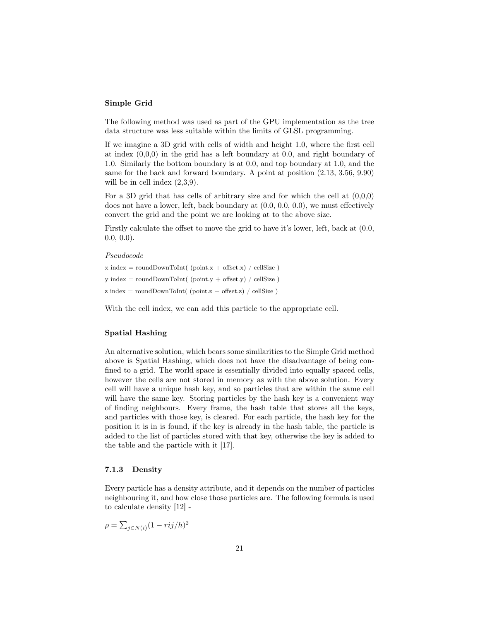## Simple Grid

The following method was used as part of the GPU implementation as the tree data structure was less suitable within the limits of GLSL programming.

If we imagine a 3D grid with cells of width and height 1.0, where the first cell at index (0,0,0) in the grid has a left boundary at 0.0, and right boundary of 1.0. Similarly the bottom boundary is at 0.0, and top boundary at 1.0, and the same for the back and forward boundary. A point at position (2.13, 3.56, 9.90) will be in cell index  $(2,3,9)$ .

For a 3D grid that has cells of arbitrary size and for which the cell at (0,0,0) does not have a lower, left, back boundary at (0.0, 0.0, 0.0), we must effectively convert the grid and the point we are looking at to the above size.

Firstly calculate the offset to move the grid to have it's lower, left, back at (0.0,  $(0.0, 0.0).$ 

#### Pseudocode

```
x \in \text{roundDownToInt}(\text{point}.x + \text{offset}.x) / \text{cellSize})y \text{ index} = \text{roundDownToInt( (point.y + offset.y) / cellsize )}z \text{ index} = \text{roundDownToInt}( \text{ (point.} z + \text{offset.} z) / \text{ cellSize } )
```
With the cell index, we can add this particle to the appropriate cell.

## Spatial Hashing

An alternative solution, which bears some similarities to the Simple Grid method above is Spatial Hashing, which does not have the disadvantage of being confined to a grid. The world space is essentially divided into equally spaced cells, however the cells are not stored in memory as with the above solution. Every cell will have a unique hash key, and so particles that are within the same cell will have the same key. Storing particles by the hash key is a convenient way of finding neighbours. Every frame, the hash table that stores all the keys, and particles with those key, is cleared. For each particle, the hash key for the position it is in is found, if the key is already in the hash table, the particle is added to the list of particles stored with that key, otherwise the key is added to the table and the particle with it [17].

#### 7.1.3 Density

Every particle has a density attribute, and it depends on the number of particles neighbouring it, and how close those particles are. The following formula is used to calculate density [12] -

$$
\rho = \sum_{j \in N(i)} (1 - rij/h)^2
$$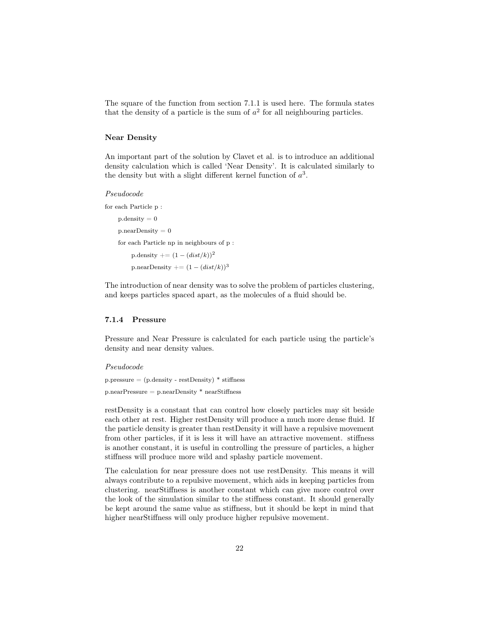The square of the function from section 7.1.1 is used here. The formula states that the density of a particle is the sum of  $a<sup>2</sup>$  for all neighbouring particles.

## Near Density

An important part of the solution by Clavet et al. is to introduce an additional density calculation which is called 'Near Density'. It is calculated similarly to the density but with a slight different kernel function of  $a^3$ .

#### Pseudocode

for each Particle p :

 $p$ . density  $= 0$  $p.nextDensity = 0$ for each Particle np in neighbours of p : p.density  $+ = (1 - (dist/k))^2$ p.nearDensity  $+=(1-(dist/k))^3$ 

The introduction of near density was to solve the problem of particles clustering, and keeps particles spaced apart, as the molecules of a fluid should be.

## 7.1.4 Pressure

Pressure and Near Pressure is calculated for each particle using the particle's density and near density values.

#### Pseudocode

 $p.\text{pressure} = (p.\text{density - restDensity}) * \text{stiffness}$ p.nearPressure = p.nearDensity \* nearStiffness

restDensity is a constant that can control how closely particles may sit beside each other at rest. Higher restDensity will produce a much more dense fluid. If the particle density is greater than restDensity it will have a repulsive movement from other particles, if it is less it will have an attractive movement. stiffness is another constant, it is useful in controlling the pressure of particles, a higher stiffness will produce more wild and splashy particle movement.

The calculation for near pressure does not use restDensity. This means it will always contribute to a repulsive movement, which aids in keeping particles from clustering. nearStiffness is another constant which can give more control over the look of the simulation similar to the stiffness constant. It should generally be kept around the same value as stiffness, but it should be kept in mind that higher nearStiffness will only produce higher repulsive movement.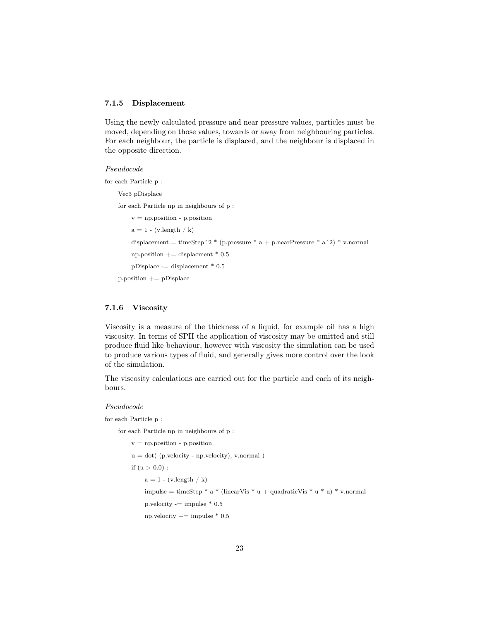## 7.1.5 Displacement

Using the newly calculated pressure and near pressure values, particles must be moved, depending on those values, towards or away from neighbouring particles. For each neighbour, the particle is displaced, and the neighbour is displaced in the opposite direction.

## Pseudocode

for each Particle p :

```
Vec3 pDisplace
for each Particle np in neighbours of p :
    v = np.position - p. position
    a = 1 - (v.length / k)displacement = timeStep^2 * (p.pressure * a + p.nearPressure * a^2) * v.normal
    np.position += displacment * 0.5
    pDisplace -= displacement * 0.5 \,
```
p.position += pDisplace

## 7.1.6 Viscosity

Viscosity is a measure of the thickness of a liquid, for example oil has a high viscosity. In terms of SPH the application of viscosity may be omitted and still produce fluid like behaviour, however with viscosity the simulation can be used to produce various types of fluid, and generally gives more control over the look of the simulation.

The viscosity calculations are carried out for the particle and each of its neighbours.

## Pseudocode

for each Particle p :

for each Particle np in neighbours of p :

```
v = np. position - p. position
u = dot( (p.velocity - np.velocity), v.normal)
if (u > 0.0):
    a = 1 - (v.length / k)impulse = timeStep * a * (linearVis * u + quadraticVis * u * u) * v.normal
    p.velocity = impulse * 0.5np.velocity += impulse * 0.5
```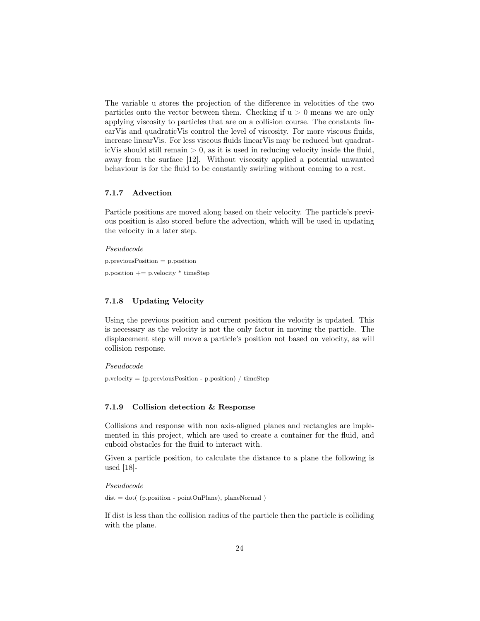The variable u stores the projection of the difference in velocities of the two particles onto the vector between them. Checking if  $u > 0$  means we are only applying viscosity to particles that are on a collision course. The constants linearVis and quadraticVis control the level of viscosity. For more viscous fluids, increase linearVis. For less viscous fluids linearVis may be reduced but quadraticVis should still remain  $> 0$ , as it is used in reducing velocity inside the fluid, away from the surface [12]. Without viscosity applied a potential unwanted behaviour is for the fluid to be constantly swirling without coming to a rest.

## 7.1.7 Advection

Particle positions are moved along based on their velocity. The particle's previous position is also stored before the advection, which will be used in updating the velocity in a later step.

Pseudocode p.previousPosition = p.position p.position  $+=$  p.velocity  $*$  timeStep

## 7.1.8 Updating Velocity

Using the previous position and current position the velocity is updated. This is necessary as the velocity is not the only factor in moving the particle. The displacement step will move a particle's position not based on velocity, as will collision response.

Pseudocode

p.velocity = (p.previousPosition - p.position) / timeStep

## 7.1.9 Collision detection & Response

Collisions and response with non axis-aligned planes and rectangles are implemented in this project, which are used to create a container for the fluid, and cuboid obstacles for the fluid to interact with.

Given a particle position, to calculate the distance to a plane the following is used [18]-

Pseudocode

 $dist = dot($  (p.position - point $OnPlane$ ), planeNormal)

If dist is less than the collision radius of the particle then the particle is colliding with the plane.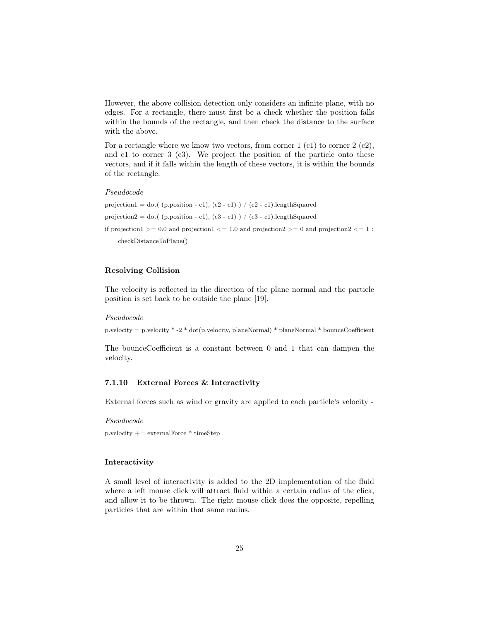However, the above collision detection only considers an infinite plane, with no edges. For a rectangle, there must first be a check whether the position falls within the bounds of the rectangle, and then check the distance to the surface with the above.

For a rectangle where we know two vectors, from corner  $1$  (c1) to corner  $2$  (c2), and c1 to corner 3 (c3). We project the position of the particle onto these vectors, and if it falls within the length of these vectors, it is within the bounds of the rectangle.

#### Pseudocode

projection1 = dot( (p.position - c1), (c2 - c1) ) / (c2 - c1).lengthSquared projection 2 = dot( (p.position - c1), (c3 - c1) ) / (c3 - c1).lengthSquared if projection  $1 \ge 0.0$  and projection  $1 \le 1.0$  and projection  $2 \ge 0$  and projection  $2 \le 1$ : checkDistanceToPlane()

## Resolving Collision

The velocity is reflected in the direction of the plane normal and the particle position is set back to be outside the plane [19].

#### Pseudocode

p.velocity = p.velocity \* -2 \* dot(p.velocity, planeNormal) \* planeNormal \* bounceCoefficient

The bounceCoefficient is a constant between 0 and 1 that can dampen the velocity.

## 7.1.10 External Forces & Interactivity

External forces such as wind or gravity are applied to each particle's velocity -

Pseudocode

p.velocity  $+=$  externalForce  $*$  timeStep

## Interactivity

A small level of interactivity is added to the 2D implementation of the fluid where a left mouse click will attract fluid within a certain radius of the click, and allow it to be thrown. The right mouse click does the opposite, repelling particles that are within that same radius.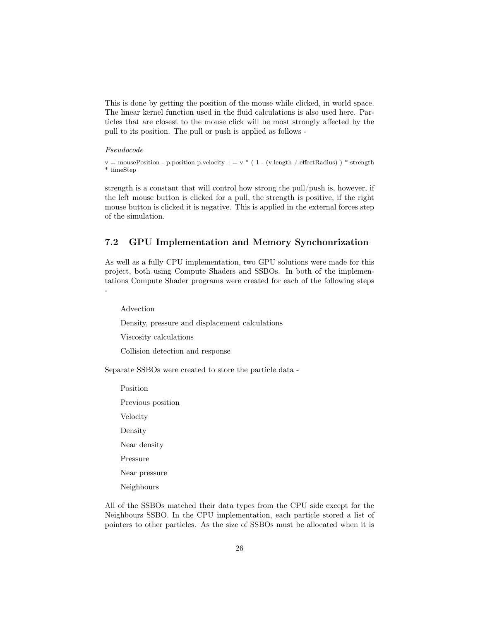This is done by getting the position of the mouse while clicked, in world space. The linear kernel function used in the fluid calculations is also used here. Particles that are closest to the mouse click will be most strongly affected by the pull to its position. The pull or push is applied as follows -

## Pseudocode

 $v = \text{mousePosition - p. position p. velocity } += v * (1 - (v.length / effectRadius) ) * strength$ \* timeStep

strength is a constant that will control how strong the pull/push is, however, if the left mouse button is clicked for a pull, the strength is positive, if the right mouse button is clicked it is negative. This is applied in the external forces step of the simulation.

## 7.2 GPU Implementation and Memory Synchonrization

As well as a fully CPU implementation, two GPU solutions were made for this project, both using Compute Shaders and SSBOs. In both of the implementations Compute Shader programs were created for each of the following steps -

Advection

Density, pressure and displacement calculations

Viscosity calculations

Collision detection and response

Separate SSBOs were created to store the particle data -

Position Previous position Velocity Density Near density Pressure Near pressure Neighbours

All of the SSBOs matched their data types from the CPU side except for the Neighbours SSBO. In the CPU implementation, each particle stored a list of pointers to other particles. As the size of SSBOs must be allocated when it is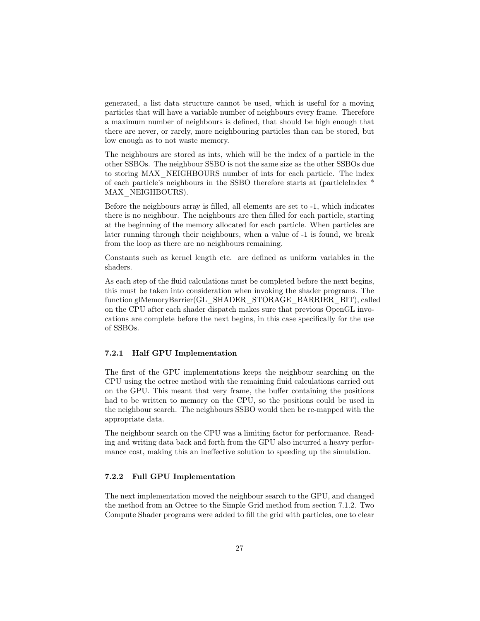generated, a list data structure cannot be used, which is useful for a moving particles that will have a variable number of neighbours every frame. Therefore a maximum number of neighbours is defined, that should be high enough that there are never, or rarely, more neighbouring particles than can be stored, but low enough as to not waste memory.

The neighbours are stored as ints, which will be the index of a particle in the other SSBOs. The neighbour SSBO is not the same size as the other SSBOs due to storing MAX\_NEIGHBOURS number of ints for each particle. The index of each particle's neighbours in the SSBO therefore starts at (particleIndex \* MAX\_NEIGHBOURS).

Before the neighbours array is filled, all elements are set to -1, which indicates there is no neighbour. The neighbours are then filled for each particle, starting at the beginning of the memory allocated for each particle. When particles are later running through their neighbours, when a value of -1 is found, we break from the loop as there are no neighbours remaining.

Constants such as kernel length etc. are defined as uniform variables in the shaders.

As each step of the fluid calculations must be completed before the next begins, this must be taken into consideration when invoking the shader programs. The function glMemoryBarrier(GL\_SHADER\_STORAGE\_BARRIER\_BIT), called on the CPU after each shader dispatch makes sure that previous OpenGL invocations are complete before the next begins, in this case specifically for the use of SSBOs.

## 7.2.1 Half GPU Implementation

The first of the GPU implementations keeps the neighbour searching on the CPU using the octree method with the remaining fluid calculations carried out on the GPU. This meant that very frame, the buffer containing the positions had to be written to memory on the CPU, so the positions could be used in the neighbour search. The neighbours SSBO would then be re-mapped with the appropriate data.

The neighbour search on the CPU was a limiting factor for performance. Reading and writing data back and forth from the GPU also incurred a heavy performance cost, making this an ineffective solution to speeding up the simulation.

## 7.2.2 Full GPU Implementation

The next implementation moved the neighbour search to the GPU, and changed the method from an Octree to the Simple Grid method from section 7.1.2. Two Compute Shader programs were added to fill the grid with particles, one to clear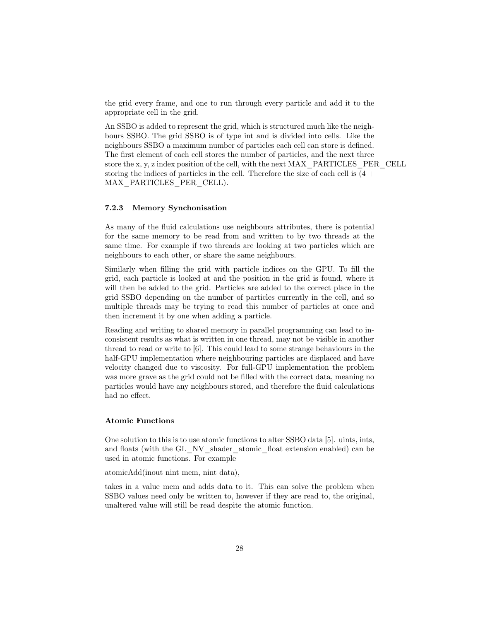the grid every frame, and one to run through every particle and add it to the appropriate cell in the grid.

An SSBO is added to represent the grid, which is structured much like the neighbours SSBO. The grid SSBO is of type int and is divided into cells. Like the neighbours SSBO a maximum number of particles each cell can store is defined. The first element of each cell stores the number of particles, and the next three store the x, y, z index position of the cell, with the next MAX\_PARTICLES\_PER\_CELL storing the indices of particles in the cell. Therefore the size of each cell is  $(4 +$ MAX\_PARTICLES\_PER\_CELL).

## 7.2.3 Memory Synchonisation

As many of the fluid calculations use neighbours attributes, there is potential for the same memory to be read from and written to by two threads at the same time. For example if two threads are looking at two particles which are neighbours to each other, or share the same neighbours.

Similarly when filling the grid with particle indices on the GPU. To fill the grid, each particle is looked at and the position in the grid is found, where it will then be added to the grid. Particles are added to the correct place in the grid SSBO depending on the number of particles currently in the cell, and so multiple threads may be trying to read this number of particles at once and then increment it by one when adding a particle.

Reading and writing to shared memory in parallel programming can lead to inconsistent results as what is written in one thread, may not be visible in another thread to read or write to [6]. This could lead to some strange behaviours in the half-GPU implementation where neighbouring particles are displaced and have velocity changed due to viscosity. For full-GPU implementation the problem was more grave as the grid could not be filled with the correct data, meaning no particles would have any neighbours stored, and therefore the fluid calculations had no effect.

## Atomic Functions

One solution to this is to use atomic functions to alter SSBO data [5]. uints, ints, and floats (with the GL\_NV\_shader\_atomic\_float extension enabled) can be used in atomic functions. For example

atomicAdd(inout nint mem, nint data),

takes in a value mem and adds data to it. This can solve the problem when SSBO values need only be written to, however if they are read to, the original, unaltered value will still be read despite the atomic function.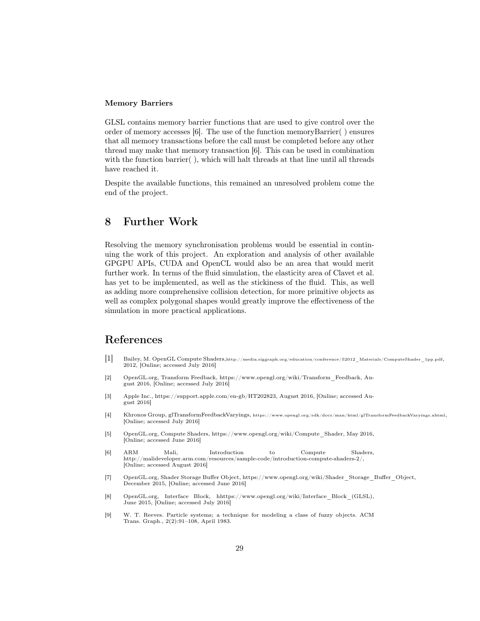## Memory Barriers

GLSL contains memory barrier functions that are used to give control over the order of memory accesses [6]. The use of the function memoryBarrier( ) ensures that all memory transactions before the call must be completed before any other thread may make that memory transaction [6]. This can be used in combination with the function barrier( ), which will halt threads at that line until all threads have reached it.

Despite the available functions, this remained an unresolved problem come the end of the project.

## 8 Further Work

Resolving the memory synchronisation problems would be essential in continuing the work of this project. An exploration and analysis of other available GPGPU APIs, CUDA and OpenCL would also be an area that would merit further work. In terms of the fluid simulation, the elasticity area of Clavet et al. has yet to be implemented, as well as the stickiness of the fluid. This, as well as adding more comprehensive collision detection, for more primitive objects as well as complex polygonal shapes would greatly improve the effectiveness of the simulation in more practical applications.

## References

- [1] Bailey, M. OpenGL Compute Shaders,http://media.siggraph.org/education/conference/S2012\_Materials/ComputeShader\_1pp.pdf, 2012, [Online; accessed July 2016]
- [2] OpenGL.org, Transform Feedback, https://www.opengl.org/wiki/Transform\_Feedback, August 2016, [Online; accessed July 2016]
- [3] Apple Inc., https://support.apple.com/en-gb/HT202823, August 2016, [Online; accessed August 2016]
- [4] Khronos Group, glTransformFeedbackVaryings, https://www.opengl.org/sdk/docs/man/html/glTransformFeedbackVaryings.xhtml, [Online; accessed July 2016]
- [5] OpenGL.org, Compute Shaders, https://www.opengl.org/wiki/Compute\_Shader, May 2016, [Online; accessed June 2016]
- [6] ARM Mali, Introduction to Compute Shaders, http://malideveloper.arm.com/resources/sample-code/introduction-compute-shaders-2/, [Online; accessed August 2016]
- [7] OpenGL.org, Shader Storage Buffer Object, https://www.opengl.org/wiki/Shader\_Storage\_Buffer\_Object, December 2015, [Online; accessed June 2016]
- [8] OpenGL.org, Interface Block, hhttps://www.opengl.org/wiki/Interface\_Block\_(GLSL), June 2015, [Online; accessed July 2016]
- [9] W. T. Reeves. Particle systems; a technique for modeling a class of fuzzy objects. ACM Trans. Graph., 2(2):91–108, April 1983.